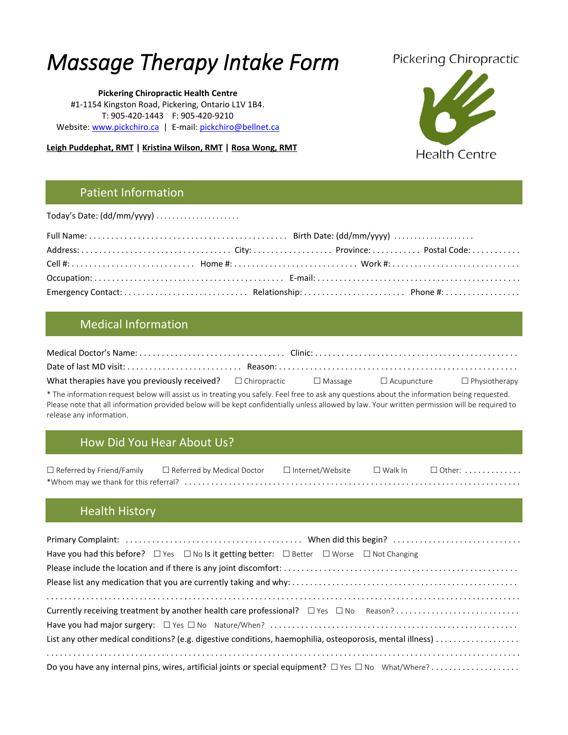# *Massage Therapy Intake Form*

**Pickering Chiropractic Health Centre** #1-1154 Kingston Road, Pickering, Ontario L1V 1B4. T: 905-420-1443 F: 905-420-9210 Website[: www.pickchiro.ca](http://www.pickchiro.ca/) | E-mail[: pickchiro@bellnet.ca](mailto:pickchiro@bellnet.ca)

**Leigh Puddephat, RMT | Kristina Wilson, RMT | Rosa Wong, RMT**

# **Pickering Chiropractic**



### Patient Information

Today's Date: (dd/mm/yyyy) . . . . . . . . . . . . . . . . . . . . .

## Medical Information

| What therapies have you previously received? $\square$ Chiropractic $\square$ Massage $\square$ Acupuncture $\square$ Physiotherapy |  |  |
|-------------------------------------------------------------------------------------------------------------------------------------|--|--|

\* The information request below will assist us in treating you safely. Feel free to ask any questions about the information being requested. Please note that all information provided below will be kept confidentially unless allowed by law. Your written permission will be required to release any information.

# How Did You Hear About Us?

|  | $\Box$ Referred by Friend/Family $\Box$ Referred by Medical Doctor $\Box$ Internet/Website |  |  | $\square$ Walk In $\square$ Other: $\dots\dots\dots\dots$ |  |
|--|--------------------------------------------------------------------------------------------|--|--|-----------------------------------------------------------|--|
|  |                                                                                            |  |  |                                                           |  |

# Health History

| Have you had this before? $\Box$ Yes $\Box$ No Is it getting better: $\Box$ Better $\Box$ Worse $\Box$ Not Changing |  |
|---------------------------------------------------------------------------------------------------------------------|--|
|                                                                                                                     |  |
|                                                                                                                     |  |
|                                                                                                                     |  |
|                                                                                                                     |  |
|                                                                                                                     |  |
| List any other medical conditions? (e.g. digestive conditions, haemophilia, osteoporosis, mental illness)           |  |
|                                                                                                                     |  |
| Do you have any internal pins, wires, artificial joints or special equipment? $\Box$ Yes $\Box$ No What/Where?      |  |